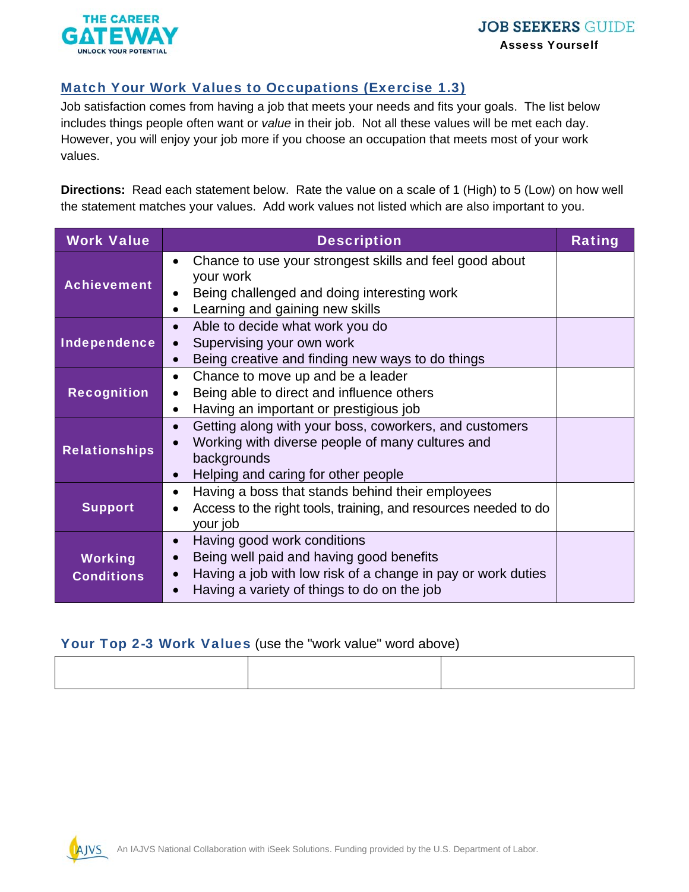

## Match Your Work Values to Occupations (Exercise 1.3)

Job satisfaction comes from having a job that meets your needs and fits your goals. The list below includes things people often want or *value* in their job. Not all these values will be met each day. However, you will enjoy your job more if you choose an occupation that meets most of your work values.

**Directions:** Read each statement below. Rate the value on a scale of 1 (High) to 5 (Low) on how well the statement matches your values. Add work values not listed which are also important to you.

| <b>Work Value</b>                   | <b>Description</b>                                                                                                                                                                                               | <b>Rating</b> |
|-------------------------------------|------------------------------------------------------------------------------------------------------------------------------------------------------------------------------------------------------------------|---------------|
| <b>Achievement</b>                  | Chance to use your strongest skills and feel good about<br>$\bullet$<br>your work<br>Being challenged and doing interesting work<br>$\bullet$<br>Learning and gaining new skills<br>$\bullet$                    |               |
| Independence                        | Able to decide what work you do<br>$\bullet$<br>Supervising your own work<br>$\bullet$<br>Being creative and finding new ways to do things<br>$\bullet$                                                          |               |
| <b>Recognition</b>                  | Chance to move up and be a leader<br>$\bullet$<br>Being able to direct and influence others<br>$\bullet$<br>Having an important or prestigious job<br>$\bullet$                                                  |               |
| <b>Relationships</b>                | Getting along with your boss, coworkers, and customers<br>$\bullet$<br>Working with diverse people of many cultures and<br>$\bullet$<br>backgrounds<br>Helping and caring for other people<br>$\bullet$          |               |
| <b>Support</b>                      | Having a boss that stands behind their employees<br>$\bullet$<br>Access to the right tools, training, and resources needed to do<br>your job                                                                     |               |
| <b>Working</b><br><b>Conditions</b> | Having good work conditions<br>$\bullet$<br>Being well paid and having good benefits<br>$\bullet$<br>Having a job with low risk of a change in pay or work duties<br>Having a variety of things to do on the job |               |

## Your Top 2-3 Work Values (use the "work value" word above)